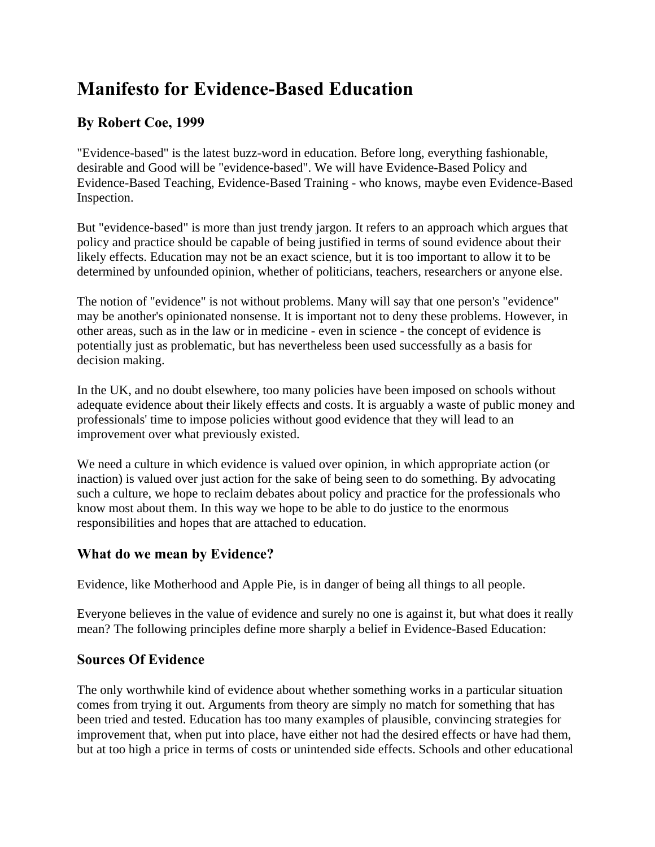# **Manifesto for Evidence-Based Education**

## **By Robert Coe, 1999**

"Evidence-based" is the latest buzz-word in education. Before long, everything fashionable, desirable and Good will be "evidence-based". We will have Evidence-Based Policy and Evidence-Based Teaching, Evidence-Based Training - who knows, maybe even Evidence-Based Inspection.

But "evidence-based" is more than just trendy jargon. It refers to an approach which argues that policy and practice should be capable of being justified in terms of sound evidence about their likely effects. Education may not be an exact science, but it is too important to allow it to be determined by unfounded opinion, whether of politicians, teachers, researchers or anyone else.

The notion of "evidence" is not without problems. Many will say that one person's "evidence" may be another's opinionated nonsense. It is important not to deny these problems. However, in other areas, such as in the law or in medicine - even in science - the concept of evidence is potentially just as problematic, but has nevertheless been used successfully as a basis for decision making.

In the UK, and no doubt elsewhere, too many policies have been imposed on schools without adequate evidence about their likely effects and costs. It is arguably a waste of public money and professionals' time to impose policies without good evidence that they will lead to an improvement over what previously existed.

We need a culture in which evidence is valued over opinion, in which appropriate action (or inaction) is valued over just action for the sake of being seen to do something. By advocating such a culture, we hope to reclaim debates about policy and practice for the professionals who know most about them. In this way we hope to be able to do justice to the enormous responsibilities and hopes that are attached to education.

## **What do we mean by Evidence?**

Evidence, like Motherhood and Apple Pie, is in danger of being all things to all people.

Everyone believes in the value of evidence and surely no one is against it, but what does it really mean? The following principles define more sharply a belief in Evidence-Based Education:

## **Sources Of Evidence**

The only worthwhile kind of evidence about whether something works in a particular situation comes from trying it out. Arguments from theory are simply no match for something that has been tried and tested. Education has too many examples of plausible, convincing strategies for improvement that, when put into place, have either not had the desired effects or have had them, but at too high a price in terms of costs or unintended side effects. Schools and other educational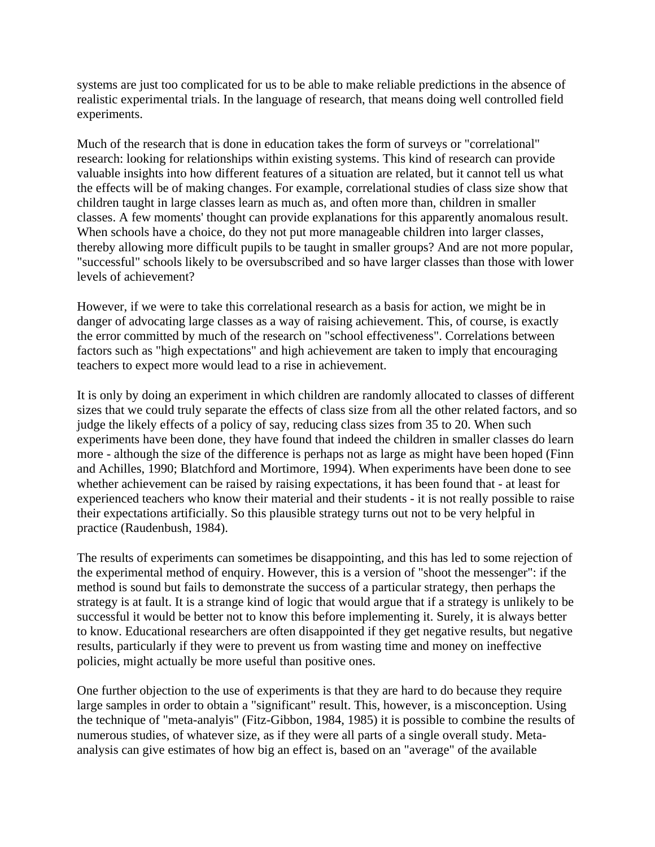systems are just too complicated for us to be able to make reliable predictions in the absence of realistic experimental trials. In the language of research, that means doing well controlled field experiments.

Much of the research that is done in education takes the form of surveys or "correlational" research: looking for relationships within existing systems. This kind of research can provide valuable insights into how different features of a situation are related, but it cannot tell us what the effects will be of making changes. For example, correlational studies of class size show that children taught in large classes learn as much as, and often more than, children in smaller classes. A few moments' thought can provide explanations for this apparently anomalous result. When schools have a choice, do they not put more manageable children into larger classes, thereby allowing more difficult pupils to be taught in smaller groups? And are not more popular, "successful" schools likely to be oversubscribed and so have larger classes than those with lower levels of achievement?

However, if we were to take this correlational research as a basis for action, we might be in danger of advocating large classes as a way of raising achievement. This, of course, is exactly the error committed by much of the research on "school effectiveness". Correlations between factors such as "high expectations" and high achievement are taken to imply that encouraging teachers to expect more would lead to a rise in achievement.

It is only by doing an experiment in which children are randomly allocated to classes of different sizes that we could truly separate the effects of class size from all the other related factors, and so judge the likely effects of a policy of say, reducing class sizes from 35 to 20. When such experiments have been done, they have found that indeed the children in smaller classes do learn more - although the size of the difference is perhaps not as large as might have been hoped (Finn and Achilles, 1990; Blatchford and Mortimore, 1994). When experiments have been done to see whether achievement can be raised by raising expectations, it has been found that - at least for experienced teachers who know their material and their students - it is not really possible to raise their expectations artificially. So this plausible strategy turns out not to be very helpful in practice (Raudenbush, 1984).

The results of experiments can sometimes be disappointing, and this has led to some rejection of the experimental method of enquiry. However, this is a version of "shoot the messenger": if the method is sound but fails to demonstrate the success of a particular strategy, then perhaps the strategy is at fault. It is a strange kind of logic that would argue that if a strategy is unlikely to be successful it would be better not to know this before implementing it. Surely, it is always better to know. Educational researchers are often disappointed if they get negative results, but negative results, particularly if they were to prevent us from wasting time and money on ineffective policies, might actually be more useful than positive ones.

One further objection to the use of experiments is that they are hard to do because they require large samples in order to obtain a "significant" result. This, however, is a misconception. Using the technique of "meta-analyis" (Fitz-Gibbon, 1984, 1985) it is possible to combine the results of numerous studies, of whatever size, as if they were all parts of a single overall study. Metaanalysis can give estimates of how big an effect is, based on an "average" of the available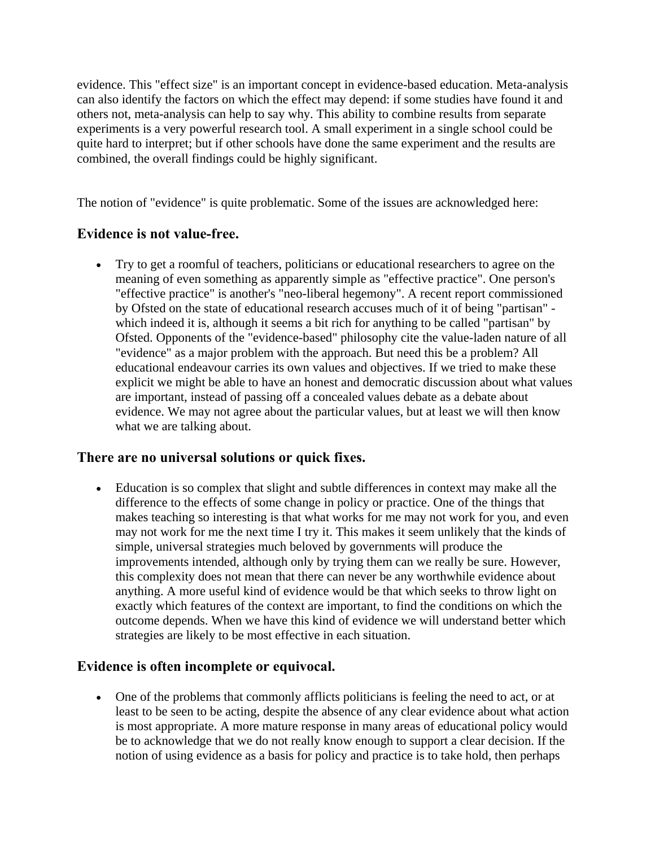evidence. This "effect size" is an important concept in evidence-based education. Meta-analysis can also identify the factors on which the effect may depend: if some studies have found it and others not, meta-analysis can help to say why. This ability to combine results from separate experiments is a very powerful research tool. A small experiment in a single school could be quite hard to interpret; but if other schools have done the same experiment and the results are combined, the overall findings could be highly significant.

The notion of "evidence" is quite problematic. Some of the issues are acknowledged here:

## **Evidence is not value-free.**

 Try to get a roomful of teachers, politicians or educational researchers to agree on the meaning of even something as apparently simple as "effective practice". One person's "effective practice" is another's "neo-liberal hegemony". A recent report commissioned by Ofsted on the state of educational research accuses much of it of being "partisan" which indeed it is, although it seems a bit rich for anything to be called "partisan" by Ofsted. Opponents of the "evidence-based" philosophy cite the value-laden nature of all "evidence" as a major problem with the approach. But need this be a problem? All educational endeavour carries its own values and objectives. If we tried to make these explicit we might be able to have an honest and democratic discussion about what values are important, instead of passing off a concealed values debate as a debate about evidence. We may not agree about the particular values, but at least we will then know what we are talking about.

#### **There are no universal solutions or quick fixes.**

 Education is so complex that slight and subtle differences in context may make all the difference to the effects of some change in policy or practice. One of the things that makes teaching so interesting is that what works for me may not work for you, and even may not work for me the next time I try it. This makes it seem unlikely that the kinds of simple, universal strategies much beloved by governments will produce the improvements intended, although only by trying them can we really be sure. However, this complexity does not mean that there can never be any worthwhile evidence about anything. A more useful kind of evidence would be that which seeks to throw light on exactly which features of the context are important, to find the conditions on which the outcome depends. When we have this kind of evidence we will understand better which strategies are likely to be most effective in each situation.

## **Evidence is often incomplete or equivocal.**

 One of the problems that commonly afflicts politicians is feeling the need to act, or at least to be seen to be acting, despite the absence of any clear evidence about what action is most appropriate. A more mature response in many areas of educational policy would be to acknowledge that we do not really know enough to support a clear decision. If the notion of using evidence as a basis for policy and practice is to take hold, then perhaps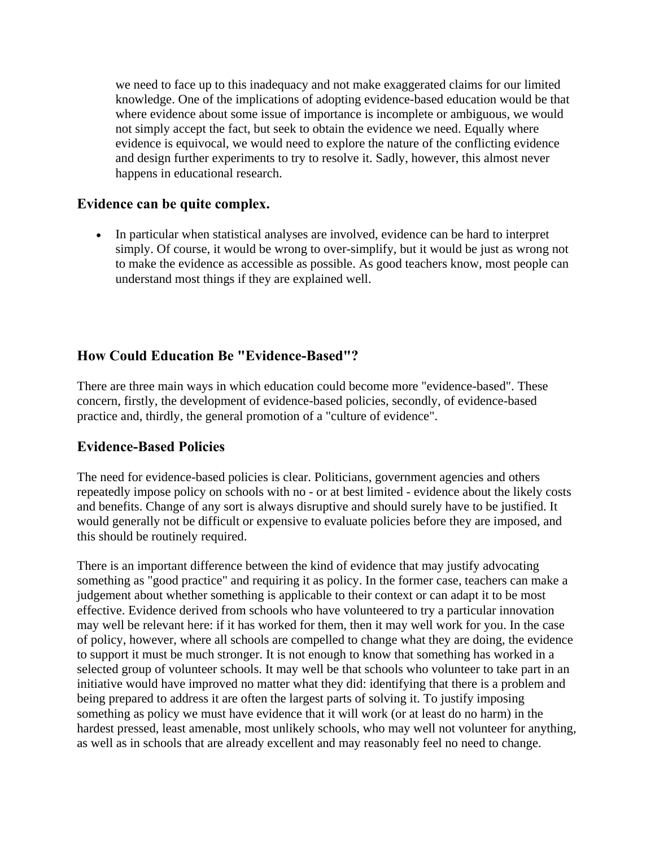we need to face up to this inadequacy and not make exaggerated claims for our limited knowledge. One of the implications of adopting evidence-based education would be that where evidence about some issue of importance is incomplete or ambiguous, we would not simply accept the fact, but seek to obtain the evidence we need. Equally where evidence is equivocal, we would need to explore the nature of the conflicting evidence and design further experiments to try to resolve it. Sadly, however, this almost never happens in educational research.

#### **Evidence can be quite complex.**

 In particular when statistical analyses are involved, evidence can be hard to interpret simply. Of course, it would be wrong to over-simplify, but it would be just as wrong not to make the evidence as accessible as possible. As good teachers know, most people can understand most things if they are explained well.

#### **How Could Education Be "Evidence-Based"?**

There are three main ways in which education could become more "evidence-based". These concern, firstly, the development of evidence-based policies, secondly, of evidence-based practice and, thirdly, the general promotion of a "culture of evidence".

#### **Evidence-Based Policies**

The need for evidence-based policies is clear. Politicians, government agencies and others repeatedly impose policy on schools with no - or at best limited - evidence about the likely costs and benefits. Change of any sort is always disruptive and should surely have to be justified. It would generally not be difficult or expensive to evaluate policies before they are imposed, and this should be routinely required.

There is an important difference between the kind of evidence that may justify advocating something as "good practice" and requiring it as policy. In the former case, teachers can make a judgement about whether something is applicable to their context or can adapt it to be most effective. Evidence derived from schools who have volunteered to try a particular innovation may well be relevant here: if it has worked for them, then it may well work for you. In the case of policy, however, where all schools are compelled to change what they are doing, the evidence to support it must be much stronger. It is not enough to know that something has worked in a selected group of volunteer schools. It may well be that schools who volunteer to take part in an initiative would have improved no matter what they did: identifying that there is a problem and being prepared to address it are often the largest parts of solving it. To justify imposing something as policy we must have evidence that it will work (or at least do no harm) in the hardest pressed, least amenable, most unlikely schools, who may well not volunteer for anything, as well as in schools that are already excellent and may reasonably feel no need to change.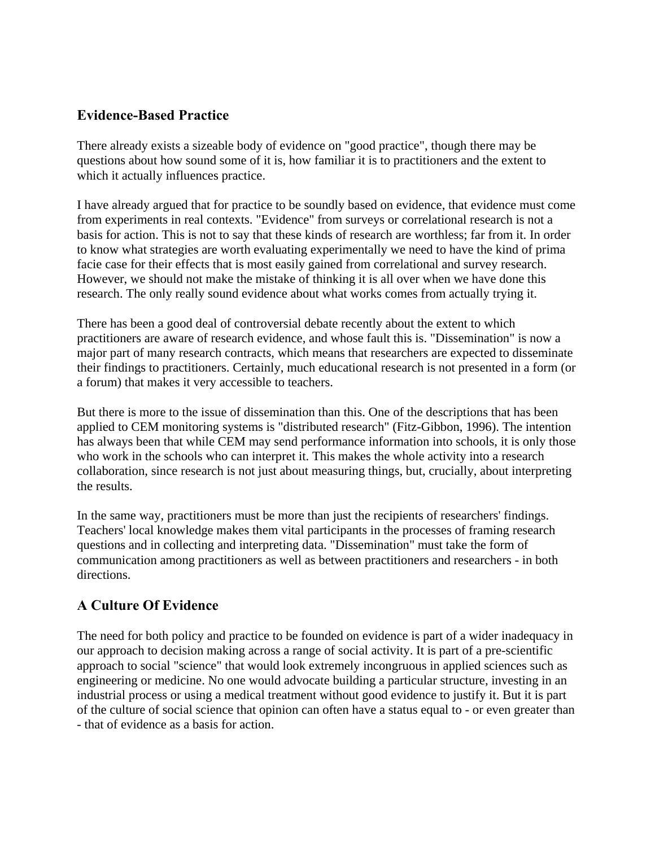### **Evidence-Based Practice**

There already exists a sizeable body of evidence on "good practice", though there may be questions about how sound some of it is, how familiar it is to practitioners and the extent to which it actually influences practice.

I have already argued that for practice to be soundly based on evidence, that evidence must come from experiments in real contexts. "Evidence" from surveys or correlational research is not a basis for action. This is not to say that these kinds of research are worthless; far from it. In order to know what strategies are worth evaluating experimentally we need to have the kind of prima facie case for their effects that is most easily gained from correlational and survey research. However, we should not make the mistake of thinking it is all over when we have done this research. The only really sound evidence about what works comes from actually trying it.

There has been a good deal of controversial debate recently about the extent to which practitioners are aware of research evidence, and whose fault this is. "Dissemination" is now a major part of many research contracts, which means that researchers are expected to disseminate their findings to practitioners. Certainly, much educational research is not presented in a form (or a forum) that makes it very accessible to teachers.

But there is more to the issue of dissemination than this. One of the descriptions that has been applied to CEM monitoring systems is "distributed research" (Fitz-Gibbon, 1996). The intention has always been that while CEM may send performance information into schools, it is only those who work in the schools who can interpret it. This makes the whole activity into a research collaboration, since research is not just about measuring things, but, crucially, about interpreting the results.

In the same way, practitioners must be more than just the recipients of researchers' findings. Teachers' local knowledge makes them vital participants in the processes of framing research questions and in collecting and interpreting data. "Dissemination" must take the form of communication among practitioners as well as between practitioners and researchers - in both directions.

## **A Culture Of Evidence**

The need for both policy and practice to be founded on evidence is part of a wider inadequacy in our approach to decision making across a range of social activity. It is part of a pre-scientific approach to social "science" that would look extremely incongruous in applied sciences such as engineering or medicine. No one would advocate building a particular structure, investing in an industrial process or using a medical treatment without good evidence to justify it. But it is part of the culture of social science that opinion can often have a status equal to - or even greater than - that of evidence as a basis for action.